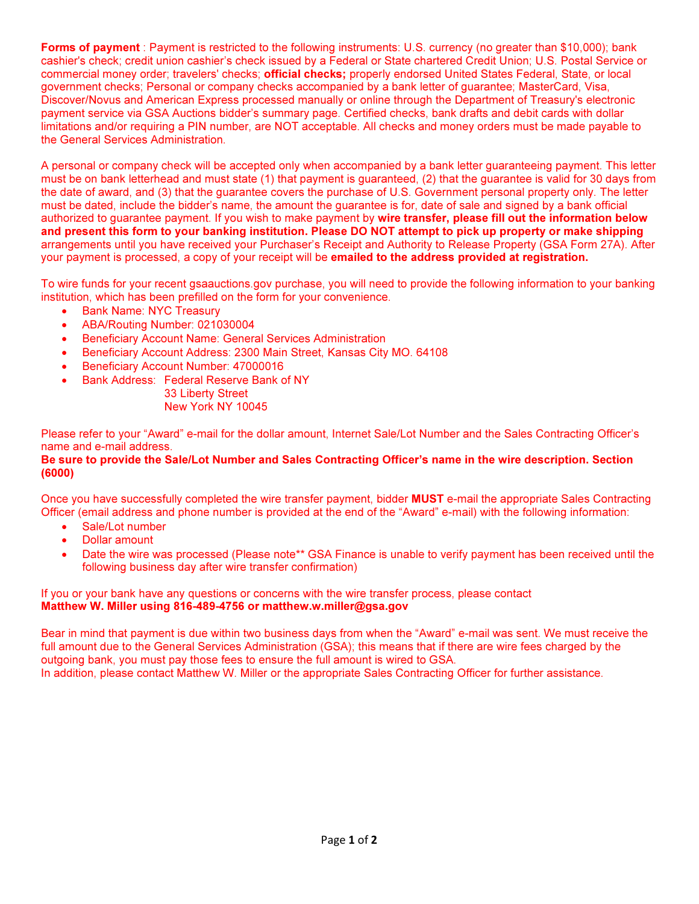Forms of payment : Payment is restricted to the following instruments: U.S. currency (no greater than \$10,000); bank cashier's check; credit union cashier's check issued by a Federal or State chartered Credit Union; U.S. Postal Service or commercial money order; travelers' checks; official checks; properly endorsed United States Federal, State, or local government checks; Personal or company checks accompanied by a bank letter of guarantee; MasterCard, Visa, Discover/Novus and American Express processed manually or online through the Department of Treasury's electronic payment service via GSA Auctions bidder's summary page. Certified checks, bank drafts and debit cards with dollar limitations and/or requiring a PIN number, are NOT acceptable. All checks and money orders must be made payable to the General Services Administration.

A personal or company check will be accepted only when accompanied by a bank letter guaranteeing payment. This letter must be on bank letterhead and must state (1) that payment is guaranteed, (2) that the guarantee is valid for 30 days from the date of award, and (3) that the guarantee covers the purchase of U.S. Government personal property only. The letter must be dated, include the bidder's name, the amount the guarantee is for, date of sale and signed by a bank official authorized to guarantee payment. If you wish to make payment by wire transfer, please fill out the information below and present this form to your banking institution. Please DO NOT attempt to pick up property or make shipping arrangements until you have received your Purchaser's Receipt and Authority to Release Property (GSA Form 27A). After your payment is processed, a copy of your receipt will be emailed to the address provided at registration.

To wire funds for your recent gsaauctions.gov purchase, you will need to provide the following information to your banking institution, which has been prefilled on the form for your convenience.

- Bank Name: NYC Treasury
- ABA/Routing Number: 021030004
- **•** Beneficiary Account Name: General Services Administration
- Beneficiary Account Address: 2300 Main Street, Kansas City MO. 64108
- Beneficiary Account Number: 47000016
- Bank Address: Federal Reserve Bank of NY
	- 33 Liberty Street New York NY 10045

Please refer to your "Award" e-mail for the dollar amount, Internet Sale/Lot Number and the Sales Contracting Officer's name and e-mail address.

## Be sure to provide the Sale/Lot Number and Sales Contracting Officer's name in the wire description. Section (6000)

Once you have successfully completed the wire transfer payment, bidder MUST e-mail the appropriate Sales Contracting Officer (email address and phone number is provided at the end of the "Award" e-mail) with the following information:

- Sale/Lot number
- Dollar amount
- Date the wire was processed (Please note\*\* GSA Finance is unable to verify payment has been received until the following business day after wire transfer confirmation)

## If you or your bank have any questions or concerns with the wire transfer process, please contact Matthew W. Miller using 816-489-4756 or matthew.w.miller@gsa.gov

Bear in mind that payment is due within two business days from when the "Award" e-mail was sent. We must receive the full amount due to the General Services Administration (GSA); this means that if there are wire fees charged by the outgoing bank, you must pay those fees to ensure the full amount is wired to GSA. In addition, please contact Matthew W. Miller or the appropriate Sales Contracting Officer for further assistance.